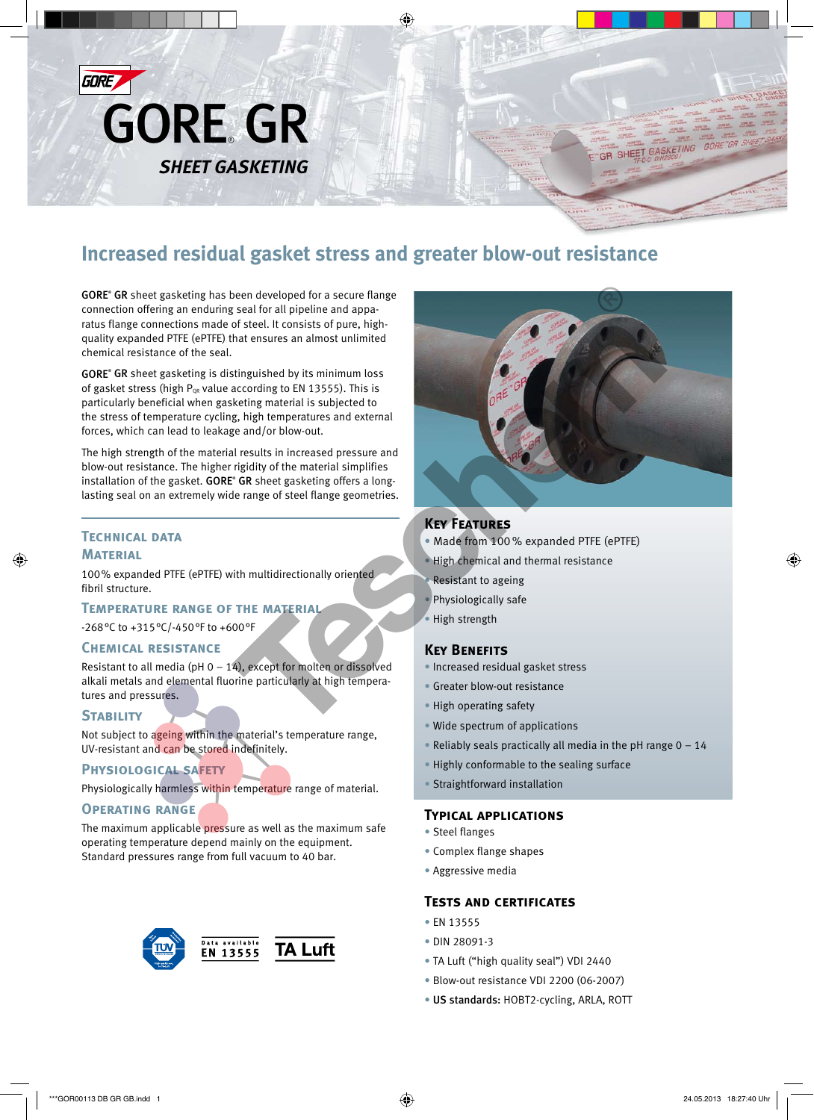

# **Increased residual gasket stress and greater blow-out resistance**

GORE<sup>®</sup> GR sheet gasketing has been developed for a secure flange connection offering an enduring seal for all pipeline and apparatus flange connections made of steel. It consists of pure, highquality expanded PTFE (ePTFE) that ensures an almost unlimited chemical resistance of the seal.

GORE<sup>®</sup> GR sheet gasketing is distinguished by its minimum loss of gasket stress (high  $P_{OR}$  value according to EN 13555). This is particularly beneficial when gasketing material is subjected to the stress of temperature cycling, high temperatures and external forces, which can lead to leakage and/or blow-out.

The high strength of the material results in increased pressure and blow-out resistance. The higher rigidity of the material simplifies installation of the gasket. GORE<sup>®</sup> GR sheet gasketing offers a longlasting seal on an extremely wide range of steel flange geometries.

## **Technical data Material**

100% expanded PTFE (ePTFE) with multidirectionally oriented fibril structure.

#### **Temperature range of the material**

-268°C to +315°C/-450°F to +600°F

### **Chemical resistance**

Resistant to all media (pH  $0 - 14$ ), except for molten or dissolved alkali metals and elemental fluorine particularly at high temperatures and pressures.

# **STABILITY**

Not subject to ageing within the material's temperature range, UV-resistant and can be stored indefinitely.

#### **Physiological safety**

Physiologically harmless within temperature range of material.

#### **Operating range**

The maximum applicable pressure as well as the maximum safe operating temperature depend mainly on the equipment. Standard pressures range from full vacuum to 40 bar.





GR SHEET GASKETING

# **Key Features**

- Made from 100 % expanded PTFE (ePTFE)
- High chemical and thermal resistance
- Resistant to ageing
- Physiologically safe
- High strength

#### **Key Benefits**

- Increased residual gasket stress
- Greater blow-out resistance
- High operating safety
- Wide spectrum of applications
- Reliably seals practically all media in the pH range  $0 14$
- Highly conformable to the sealing surface
- Straightforward installation

#### **Typical applications**

- Steel flanges
- Complex flange shapes
- Aggressive media

#### **Tests and certificates**

- EN 13555
- DIN 28091-3
- TA Luft ("high quality seal") VDI 2440
- Blow-out resistance VDI 2200 (06-2007)
- US standards: HOBT2-cycling, ARLA, ROTT